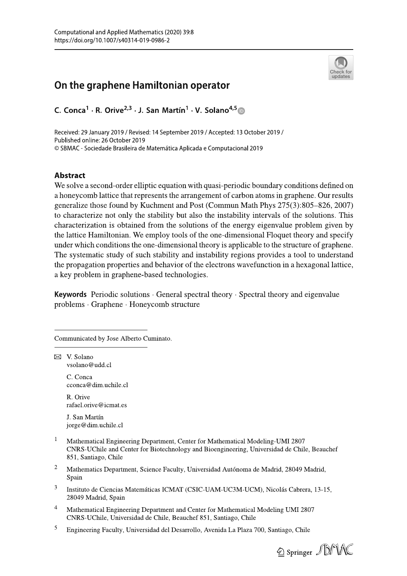# On the graphene Hamiltonian operator

C. Conca<sup>1</sup> · R. Orive<sup>2,3</sup> · J. San Martín<sup>1</sup> · V. Solano<sup>4,5</sup>

Received: 29 January 2019 / Revised: 14 September 2019 / Accepted: 13 October 2019 / Published online: 26 October 2019 © SBMAC - Sociedade Brasileira de Matemática Aplicada e Computacional 2019

### **Abstract**

We solve a second-order elliptic equation with quasi-periodic boundary conditions defined on a honeycomb lattice that represents the arrangement of carbon atoms in graphene. Our results generalize those found by Kuchment and Post (Commun Math Phys 275(3):805–826, 2007) to characterize not only the stability but also the instability intervals of the solutions. This characterization is obtained from the solutions of the energy eigenvalue problem given by the lattice Hamiltonian. We employ tools of the one-dimensional Floquet theory and specify under which conditions the one-dimensional theory is applicable to the structure of graphene. The systematic study of such stability and instability regions provides a tool to understand the propagation properties and behavior of the electrons wavefunction in a hexagonal lattice, a key problem in graphene-based technologies.

**Keywords** Periodic solutions  $\cdot$  General spectral theory  $\cdot$  Spectral theory and eigenvalue problems · Graphene · Honeycomb structure

Communicated by Jose Alberto Cuminato.

 $\boxtimes$  V. Solano vsolano@udd.cl

> C. Conca cconca@dim.uchile.cl

> R. Orive rafael.orive@icmat.es

J. San Martín jorge@dim.uchile.cl

- $\,1\,$ Mathematical Engineering Department, Center for Mathematical Modeling-UMI 2807 CNRS-UChile and Center for Biotechnology and Bioengineering, Universidad de Chile, Beauchef 851, Santiago, Chile
- $\overline{c}$ Mathematics Department, Science Faculty, Universidad Autónoma de Madrid, 28049 Madrid, Spain
- 3 Instituto de Ciencias Matemáticas ICMAT (CSIC-UAM-UC3M-UCM), Nicolás Cabrera, 13-15, 28049 Madrid, Spain
- $\overline{4}$ Mathematical Engineering Department and Center for Mathematical Modeling UMI 2807 CNRS-UChile, Universidad de Chile, Beauchef 851, Santiago, Chile
- 5 Engineering Faculty, Universidad del Desarrollo, Avenida La Plaza 700, Santiago, Chile



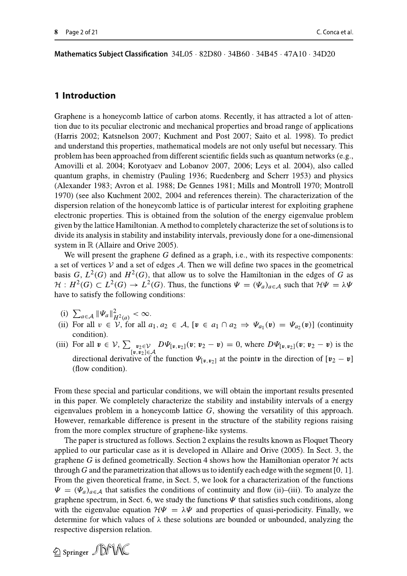Mathematics Subject Classification  $34L05 \cdot 82D80 \cdot 34B60 \cdot 34B45 \cdot 47A10 \cdot 34D20$ 

#### 1 Introduction

Graphene is a honeycomb lattice of carbon atoms. Recently, it has attracted a lot of attention due to its peculiar electronic and mechanical properties and broad range of applications (Harris 2002; Katsnelson 2007; Kuchment and Post 2007; Saito et al. 1998). To predict and understand this properties, mathematical models are not only useful but necessary. This problem has been approached from different scientific fields such as quantum networks (e.g., Amovilli et al. 2004; Korotyaev and Lobanov 2007, 2006; Leys et al. 2004), also called quantum graphs, in chemistry (Pauling 1936; Ruedenberg and Scherr 1953) and physics (Alexander 1983; Avron et al. 1988; De Gennes 1981; Mills and Montroll 1970; Montroll 1970) (see also Kuchment 2002, 2004 and references therein). The characterization of the dispersion relation of the honeycomb lattice is of particular interest for exploiting graphene electronic properties. This is obtained from the solution of the energy eigenvalue problem given by the lattice Hamiltonian. A method to completely characterize the set of solutions is to divide its analysis in stability and instability intervals, previously done for a one-dimensional system in  $\mathbb R$  (Allaire and Orive 2005).

We will present the graphene  $G$  defined as a graph, i.e., with its respective components: a set of vertices  $V$  and a set of edges  $A$ . Then we will define two spaces in the geometrical basis G,  $L^2(G)$  and  $H^2(G)$ , that allow us to solve the Hamiltonian in the edges of G as  $\mathcal{H}: H^2(G) \subset L^2(G) \to L^2(G)$ . Thus, the functions  $\Psi = (\Psi_a)_{a \in \mathcal{A}}$  such that  $\mathcal{H}\Psi = \lambda \Psi$ have to satisfy the following conditions:

- (i)  $\sum_{a \in A} ||\Psi_a||^2_{H^2(a)} < \infty.$
- (ii) For all  $v \in V$ , for all  $a_1, a_2 \in A$ ,  $[v \in a_1 \cap a_2 \Rightarrow \Psi_{a_1}(v) = \Psi_{a_2}(v)]$  (continuity condition).
- (iii) For all  $\mathbf{v} \in \mathcal{V}$ ,  $\sum_{\substack{\mathbf{v}_2 \in \mathcal{V} \\ [\mathbf{v}, \mathbf{v}_2] \in \mathcal{A}}} D\Psi_{[\mathbf{v}, \mathbf{v}_2]}(\mathbf{v}; \mathbf{v}_2 \mathbf{v}) = 0$ , where  $D\Psi_{[\mathbf{v}, \mathbf{v}_2]}(\mathbf{v}; \mathbf{v}_2 \mathbf{v})$  is the directional derivative of the function  $\Psi_{[\nu,\nu_2]}$  at the point in the direction of  $[\nu_2 - \nu]$ (flow condition).

From these special and particular conditions, we will obtain the important results presented in this paper. We completely characterize the stability and instability intervals of a energy eigenvalues problem in a honeycomb lattice  $G$ , showing the versatility of this approach. However, remarkable difference is present in the structure of the stability regions raising from the more complex structure of graphene-like systems.

The paper is structured as follows. Section 2 explains the results known as Floquet Theory applied to our particular case as it is developed in Allaire and Orive (2005). In Sect. 3, the graphene G is defined geometrically. Section 4 shows how the Hamiltonian operator  $H$  acts through G and the parametrization that allows us to identify each edge with the segment  $[0, 1]$ . From the given theoretical frame, in Sect. 5, we look for a characterization of the functions  $\Psi = (\Psi_a)_{a \in A}$  that satisfies the conditions of continuity and flow (ii)–(iii). To analyze the graphene spectrum, in Sect. 6, we study the functions  $\Psi$  that satisfies such conditions, along with the eigenvalue equation  $\mathcal{H}\Psi = \lambda \Psi$  and properties of quasi-periodicity. Finally, we determine for which values of  $\lambda$  these solutions are bounded or unbounded, analyzing the respective dispersion relation.

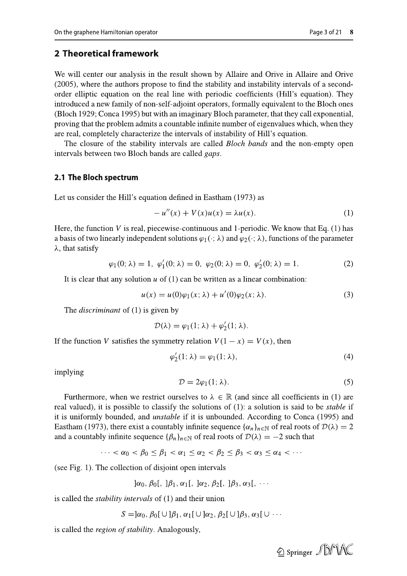**On the graphene Herniftonian osperator<br>
2 Theoretical framework<br>
We will center our analysis in the result shown by Allaire and Orive in Allaire and Orive<br>
(2003), where the authors propose to find the stability and Driv** 

$$
-u''(x) + V(x)u(x) = \lambda u(x).
$$
 (1)

9there, the function *V* is real, piecewise-continuous and 1-periodic. We know that Eq. (1) has a basis of two linearly independent solutions *ψ*<sub>1</sub>(·; λ) and *ψ*<sub>2</sub>(·; λ), functions of the parameter λ, that satisfy  $\varphi$ 

$$
\varphi_1(0; \lambda) = 1, \varphi'_1(0; \lambda) = 0, \varphi_2(0; \lambda) = 0, \varphi'_2(0; \lambda) = 1.
$$
 (2)

$$
u(x) = u(0)\varphi_1(x;\lambda) + u'(0)\varphi_2(x;\lambda).
$$
 (3)

$$
\mathcal{D}(\lambda) = \varphi_1(1; \lambda) + \varphi_2'(1; \lambda).
$$

$$
\varphi_2'(1; \lambda) = \varphi_1(1; \lambda), \tag{4}
$$

$$
\mathcal{D} = 2\varphi_1(1; \lambda). \tag{5}
$$

 $\varphi_1(0; \lambda) = 1$ ,  $\varphi_1'(0; \lambda) = 0$ ,  $\varphi_2(0; \lambda) = 0$ ,  $\varphi_2'(0; \lambda) = 1$ <br>
It is clear that any solution *u* of (1) can be written as a linear combinati<br>  $u(x) = u(0)\varphi_1(x; \lambda) + u'(0)\varphi_2(x; \lambda)$ .<br>
The *discriminant* of (1) is given  $u(x) = u(0)\varphi_1(x; \lambda) + u'(0)\varphi_2(x; \lambda).$ <br>
The discriminant of (1) is given by<br>  $\mathcal{D}(x) = \varphi_1(1; \lambda) + \varphi_2'(1; \lambda).$ <br>
If the function V satisfies the symmetry relation  $V(1-x) = V(x)$ , then<br>  $\varphi_2'(1; \lambda) = \varphi_1(1; \lambda),$ <br>  $\varphi_2'(1; \lambda) = \varphi_$ 

$$
\cdots < \alpha_0 < \beta_0 \leq \beta_1 < \alpha_1 \leq \alpha_2 < \beta_2 \leq \beta_3 < \alpha_3 \leq \alpha_4 < \cdots
$$

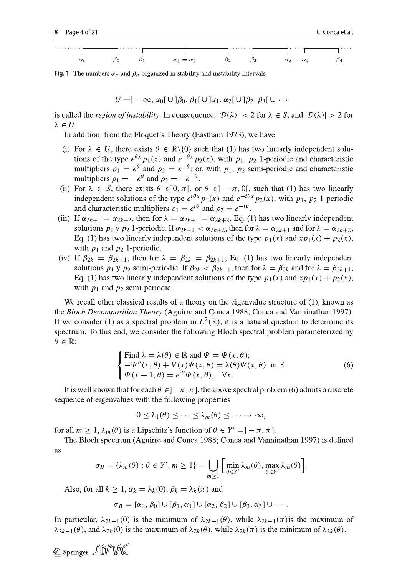

Fig. 1 The numbers  $\alpha_n$  and  $\beta_n$  organized in stability and instability intervals

$$
U = ]-\infty, \alpha_0[\cup]\beta_0, \beta_1[\cup]\alpha_1, \alpha_2[\cup]\beta_2, \beta_3[\cup \cdots
$$

is called the *region of instability*. In consequence,  $|\mathcal{D}(\lambda)| < 2$  for  $\lambda \in S$ , and  $|\mathcal{D}(\lambda)| > 2$  for  $\lambda \in U$ .

In addition, from the Floquet's Theory (Eastham 1973), we have

- (i) For  $\lambda \in U$ , there exists  $\theta \in \mathbb{R} \setminus \{0\}$  such that (1) has two linearly independent solutions of the type  $e^{\theta x} p_1(x)$  and  $e^{-\theta x} p_2(x)$ , with  $p_1$ ,  $p_2$  1-periodic and characteristic multipliers  $\rho_1 = e^{\theta}$  and  $\rho_2 = e^{-\theta}$ ; or, with  $p_1$ ,  $p_2$  semi-periodic and characteristic multipliers  $\rho_1 = -e^{\theta}$  and  $\rho_2 = -e^{-\theta}$ .
- (ii) For  $\lambda \in S$ , there exists  $\theta \in ]0, \pi[$ , or  $\theta \in ]-\pi, 0[$ , such that (1) has two linearly independent solutions of the type  $e^{i\theta x} p_1(x)$  and  $e^{-i\theta x} p_2(x)$ , with  $p_1$ ,  $p_2$  1-periodic and characteristic multipliers  $\rho_1 = e^{i\theta}$  and  $\rho_2 = e^{-i\theta}$ .
- (iii) If  $\alpha_{2k+1} = \alpha_{2k+2}$ , then for  $\lambda = \alpha_{2k+1} = \alpha_{2k+2}$ , Eq. (1) has two linearly independent solutions  $p_1 y p_2 1$ -periodic. If  $\alpha_{2k+1} < \alpha_{2k+2}$ , then for  $\lambda = \alpha_{2k+1}$  and for  $\lambda = \alpha_{2k+2}$ , Eq. (1) has two linearly independent solutions of the type  $p_1(x)$  and  $xp_1(x) + p_2(x)$ , with  $p_1$  and  $p_2$  1-periodic.
- (iv) If  $\beta_{2k} = \beta_{2k+1}$ , then for  $\lambda = \beta_{2k} = \beta_{2k+1}$ , Eq. (1) has two linearly independent solutions  $p_1$  y  $p_2$  semi-periodic. If  $\beta_{2k} < \beta_{2k+1}$ , then for  $\lambda = \beta_{2k}$  and for  $\lambda = \beta_{2k+1}$ , Eq. (1) has two linearly independent solutions of the type  $p_1(x)$  and  $xp_1(x) + p_2(x)$ , with  $p_1$  and  $p_2$  semi-periodic.

We recall other classical results of a theory on the eigenvalue structure of  $(1)$ , known as the Bloch Decomposition Theory (Aguirre and Conca 1988; Conca and Vanninathan 1997). If we consider (1) as a spectral problem in  $L^2(\mathbb{R})$ , it is a natural question to determine its spectrum. To this end, we consider the following Bloch spectral problem parameterized by  $\theta \in \mathbb{R}$ :

Find 
$$
\lambda = \lambda(\theta) \in \mathbb{R}
$$
 and  $\Psi = \Psi(x, \theta)$ ;  
\n
$$
-\Psi''(x, \theta) + V(x)\Psi(x, \theta) = \lambda(\theta)\Psi(x, \theta) \text{ in } \mathbb{R}
$$
\n
$$
\Psi(x + 1, \theta) = e^{i\theta}\Psi(x, \theta), \quad \forall x.
$$
\n(6)

It is well known that for each  $\theta \in ]-\pi, \pi]$ , the above spectral problem (6) admits a discrete sequence of eigenvalues with the following properties

$$
0\leq \lambda_1(\theta)\leq \cdots\leq \lambda_m(\theta)\leq \cdots\to \infty,
$$

for all  $m > 1$ ,  $\lambda_m(\theta)$  is a Lipschitz's function of  $\theta \in Y' = ] - \pi, \pi]$ .

The Bloch spectrum (Aguirre and Conca 1988; Conca and Vanninathan 1997) is defined as

$$
\sigma_B = \{\lambda_m(\theta) : \theta \in Y', m \ge 1\} = \bigcup_{m \ge 1} \left[ \min_{\theta \in Y'} \lambda_m(\theta), \max_{\theta \in Y'} \lambda_m(\theta) \right].
$$

Also, for all  $k \ge 1$ ,  $\alpha_k = \lambda_k(0)$ ,  $\beta_k = \lambda_k(\pi)$  and

$$
\sigma_B = [\alpha_0, \beta_0] \cup [\beta_1, \alpha_1] \cup [\alpha_2, \beta_2] \cup [\beta_3, \alpha_3] \cup \cdots
$$

In particular,  $\lambda_{2k-1}(0)$  is the minimum of  $\lambda_{2k-1}(\theta)$ , while  $\lambda_{2k-1}(\pi)$  is the maximum of  $\lambda_{2k-1}(\theta)$ , and  $\lambda_{2k}(0)$  is the maximum of  $\lambda_{2k}(\theta)$ , while  $\lambda_{2k}(\pi)$  is the minimum of  $\lambda_{2k}(\theta)$ .

 $\textcircled{2}$  Springer  $\textcircled{1}$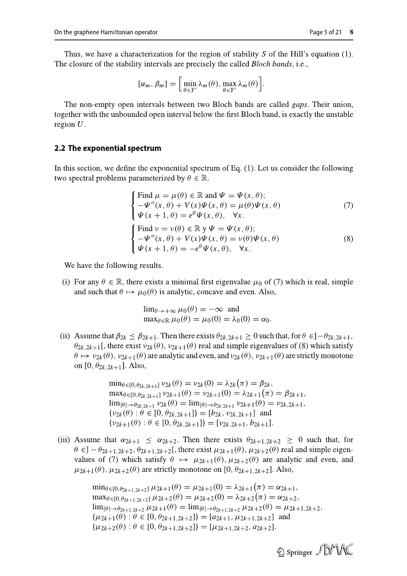Thus, we have a characterization for the region of stability  $S$  of the Hill's equation (1). The closure of the stability intervals are precisely the called *Bloch bands*, i.e.,

$$
[\alpha_m, \beta_m] = \left[ \min_{\theta \in Y'} \lambda_m(\theta), \max_{\theta \in Y'} \lambda_m(\theta) \right].
$$

The non-empty open intervals between two Bloch bands are called *gaps*. Their union, together with the unbounded open interval below the first Bloch band, is exactly the unstable region  $U$ .

#### 2.2 The exponential spectrum

In this section, we define the exponential spectrum of Eq.  $(1)$ . Let us consider the following two spectral problems parameterized by  $\theta \in \mathbb{R}$ .

Find 
$$
\mu = \mu(\theta) \in \mathbb{R}
$$
 and  $\Psi = \Psi(x, \theta)$ ;  
\n
$$
-\Psi''(x, \theta) + V(x)\Psi(x, \theta) = \mu(\theta)\Psi(x, \theta)
$$
\n
$$
\Psi(x + 1, \theta) = e^{\theta}\Psi(x, \theta), \quad \forall x.
$$
\n(7)

$$
\begin{cases}\n\text{Find } \nu = \nu(\theta) \in \mathbb{R} \text{ y } \Psi = \Psi(x, \theta); \\
-\Psi''(x, \theta) + V(x)\Psi(x, \theta) = \nu(\theta)\Psi(x, \theta) \\
\Psi(x+1, \theta) = -e^{\theta}\Psi(x, \theta), \quad \forall x.\n\end{cases} \tag{8}
$$

We have the following results.

(i) For any  $\theta \in \mathbb{R}$ , there exists a minimal first eigenvalue  $\mu_0$  of (7) which is real, simple and such that  $\theta \mapsto \mu_0(\theta)$  is analytic, concave and even. Also,

$$
\lim_{\theta \to +\infty} \mu_0(\theta) = -\infty \text{ and}
$$
  

$$
\max_{\theta \in \mathbb{R}} \mu_0(\theta) = \mu_0(0) = \lambda_0(0) = \alpha_0
$$

(ii) Assume that  $\beta_{2k} \leq \beta_{2k+1}$ . Then there exists  $\theta_{2k,2k+1} \geq 0$  such that, for  $\theta \in ]-\theta_{2k,2k+1}$ ,  $\theta_{2k,2k+1}$ , there exist  $v_{2k}(\theta)$ ,  $v_{2k+1}(\theta)$  real and simple eigenvalues of (8) which satisfy  $\theta \mapsto \nu_{2k}(\theta)$ ,  $\nu_{2k+1}(\theta)$  are analytic and even, and  $\nu_{2k}(\theta)$ ,  $\nu_{2k+1}(\theta)$  are strictly monotone on [0,  $\theta_{2k,2k+1}$ ]. Also,

> $\min_{\theta \in [0,\theta_{2k},2k+1]} v_{2k}(\theta) = v_{2k}(0) = \lambda_{2k}(\pi) = \beta_{2k},$  $\max_{\theta \in [0,\theta_{2k,2k+1}]} v_{2k+1}(\theta) = v_{2k+1}(0) = \lambda_{2k+1}(\pi) = \beta_{2k+1},$  $\lim_{|\theta| \to \theta_{2k,2k+1}} v_{2k}(\theta) = \lim_{|\theta| \to \theta_{2k,2k+1}} v_{2k+1}(\theta) = v_{2k,2k+1},$  $\{v_{2k}(\theta): \theta \in [0, \theta_{2k, 2k+1}]\} = [b_{2k}, v_{2k, 2k+1}]$  and  $\{v_{2k+1}(\theta): \theta \in [0, \theta_{2k,2k+1}]\} = [v_{2k,2k+1}, b_{2k+1}].$

(iii) Assume that  $\alpha_{2k+1} \leq \alpha_{2k+2}$ . Then there exists  $\theta_{2k+1,2k+2} \geq 0$  such that, for  $\theta \in ]-\theta_{2k+1,2k+2},\theta_{2k+1,2k+2}[$ , there exist  $\mu_{2k+1}(\theta), \mu_{2k+2}(\theta)$  real and simple eigenvalues of (7) which satisfy  $\theta \mapsto \mu_{2k+1}(\theta), \mu_{2k+2}(\theta)$  are analytic and even, and  $\mu_{2k+1}(\theta)$ ,  $\mu_{2k+2}(\theta)$  are strictly monotone on [0,  $\theta_{2k+1,2k+2}$ ]. Also,

> $\min_{\theta \in [0, \theta_{2k+1,2k+2}]} \mu_{2k+1}(\theta) = \mu_{2k+1}(0) = \lambda_{2k+1}(\pi) = \alpha_{2k+1},$  $\max_{\theta \in [0,\theta_{2k+1,2k+2}]} \mu_{2k+2}(\theta) = \mu_{2k+2}(0) = \lambda_{2k+2}(\pi) = \alpha_{2k+2},$  $\lim_{|\theta| \to \theta_{2k+1,2k+2}} \mu_{2k+1}(\theta) = \lim_{|\theta| \to \theta_{2k+1,2k+2}} \mu_{2k+2}(\theta) = \mu_{2k+1,2k+2},$  $\{\mu_{2k+1}(\theta) : \theta \in [0, \theta_{2k+1,2k+2}]\} = [a_{2k+1}, \mu_{2k+1,2k+2}]$  and  $\{\mu_{2k+2}(\theta): \theta \in [0, \theta_{2k+1,2k+2}]\} = [\mu_{2k+1,2k+2}, a_{2k+2}].$

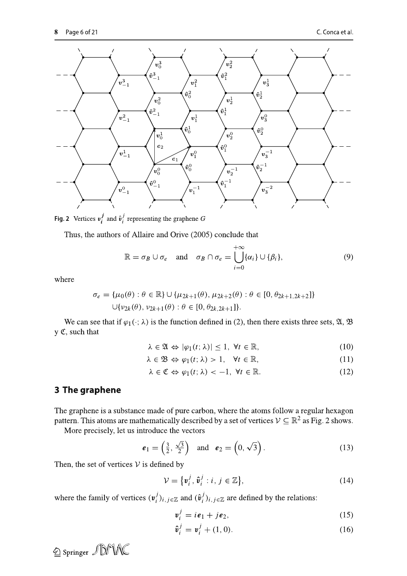

Fig. 2 Vertices  $v_i^j$  and  $\hat{v}_i^j$  representing the graphene G

Thus, the authors of Allaire and Orive (2005) conclude that

$$
\mathbb{R} = \sigma_B \cup \sigma_e \quad \text{and} \quad \sigma_B \cap \sigma_e = \bigcup_{i=0}^{+\infty} \{\alpha_i\} \cup \{\beta_i\},\tag{9}
$$

where

$$
\sigma_e = {\mu_0(\theta) : \theta \in \mathbb{R}} \cup {\mu_{2k+1}(\theta), \mu_{2k+2}(\theta) : \theta \in [0, \theta_{2k+1, 2k+2}]} \cup {\nu_{2k}(\theta), \nu_{2k+1}(\theta) : \theta \in [0, \theta_{2k, 2k+1}]}.
$$

We can see that if  $\varphi_1(\cdot; \lambda)$  is the function defined in (2), then there exists three sets,  $\mathfrak{A}, \mathfrak{B}$ y C, such that

$$
\lambda \in \mathfrak{A} \Leftrightarrow |\varphi_1(t; \lambda)| \le 1, \ \forall t \in \mathbb{R}, \tag{10}
$$

$$
\lambda \in \mathfrak{B} \Leftrightarrow \varphi_1(t; \lambda) > 1, \quad \forall t \in \mathbb{R}, \tag{11}
$$

$$
\lambda \in \mathfrak{C} \Leftrightarrow \varphi_1(t; \lambda) < -1, \ \forall t \in \mathbb{R}.\tag{12}
$$

# 3 The graphene

The graphene is a substance made of pure carbon, where the atoms follow a regular hexagon pattern. This atoms are mathematically described by a set of vertices  $V \subseteq \mathbb{R}^2$  as Fig. 2 shows.

More precisely, let us introduce the vectors

$$
\boldsymbol{e}_1 = \left(\frac{3}{2}, \frac{\sqrt{3}}{2}\right) \quad \text{and} \quad \boldsymbol{e}_2 = \left(0, \sqrt{3}\right). \tag{13}
$$

Then, the set of vertices  $V$  is defined by

$$
\mathcal{V} = \{ \mathbf{v}_i^j, \hat{\mathbf{v}}_i^j : i, j \in \mathbb{Z} \},\tag{14}
$$

where the family of vertices  $(v_i^j)_{i,j \in \mathbb{Z}}$  and  $(\hat{v}_i^j)_{i,j \in \mathbb{Z}}$  are defined by the relations:

$$
\mathbf{v}_i^j = i\mathbf{e}_1 + j\mathbf{e}_2,\tag{15}
$$

$$
\hat{\mathbf{v}}_i^j = \mathbf{v}_i^j + (1, 0). \tag{16}
$$

2 Springer JDM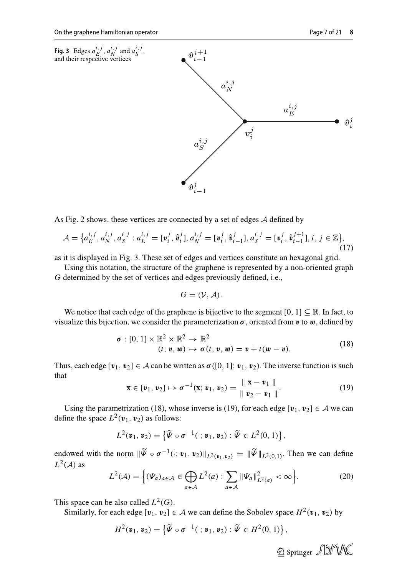

As Fig. 2 shows, these vertices are connected by a set of edges  $A$  defined by

$$
\mathcal{A} = \{a_E^{i,j}, a_N^{i,j}, a_S^{i,j} : a_E^{i,j} = [\mathbf{v}_i^j, \hat{\mathbf{v}}_i^j], a_N^{i,j} = [\mathbf{v}_i^j, \hat{\mathbf{v}}_{i-1}^j], a_S^{i,j} = [\mathbf{v}_i^j, \hat{\mathbf{v}}_{i-1}^{j+1}], i, j \in \mathbb{Z}\},\tag{17}
$$

as it is displayed in Fig. 3. These set of edges and vertices constitute an hexagonal grid.

Using this notation, the structure of the graphene is represented by a non-oriented graph G determined by the set of vertices and edges previously defined, i.e.,

$$
G=(\mathcal{V},\mathcal{A}).
$$

We notice that each edge of the graphene is bijective to the segment [0, 1]  $\subseteq \mathbb{R}$ . In fact, to visualize this bijection, we consider the parameterization  $\sigma$ , oriented from  $v$  to  $w$ , defined by

$$
\boldsymbol{\sigma} : [0, 1] \times \mathbb{R}^2 \times \mathbb{R}^2 \to \mathbb{R}^2
$$
  
\n
$$
(t; \boldsymbol{v}, \boldsymbol{w}) \mapsto \boldsymbol{\sigma}(t; \boldsymbol{v}, \boldsymbol{w}) = \boldsymbol{v} + t(\boldsymbol{w} - \boldsymbol{v}).
$$
\n(18)

Thus, each edge  $[v_1, v_2] \in A$  can be written as  $\sigma([0, 1]; v_1, v_2)$ . The inverse function is such that

$$
\mathbf{x} \in [\mathbf{v}_1, \mathbf{v}_2] \mapsto \boldsymbol{\sigma}^{-1}(\mathbf{x}; \mathbf{v}_1, \mathbf{v}_2) = \frac{\|\mathbf{x} - \mathbf{v}_1\|}{\|\mathbf{v}_2 - \mathbf{v}_1\|}.
$$
 (19)

Using the parametrization (18), whose inverse is (19), for each edge  $[v_1, v_2] \in A$  we can define the space  $L^2(\mathbf{v}_1, \mathbf{v}_2)$  as follows:

$$
L^2(\mathbf{v}_1,\mathbf{v}_2)=\left\{\widetilde{\Psi}\circ\sigma^{-1}(\cdot;\mathbf{v}_1,\mathbf{v}_2):\widetilde{\Psi}\in L^2(0,1)\right\},\,
$$

endowed with the norm  $\|\widetilde{\Psi}\circ \sigma^{-1}(\cdot; \nu_1, \nu_2)\|_{L^2(\nu_1, \nu_2)} = \|\widetilde{\Psi}\|_{L^2(0,1)}$ . Then we can define  $L^2(\mathcal{A})$  as

$$
L^{2}(\mathcal{A}) = \left\{ (\Psi_{a})_{a \in \mathcal{A}} \in \bigoplus_{a \in \mathcal{A}} L^{2}(a) : \sum_{a \in \mathcal{A}} \|\Psi_{a}\|_{L^{2}(a)}^{2} < \infty \right\}.
$$
\n<sup>(20)</sup>

This space can be also called  $L^2(G)$ .

Similarly, for each edge  $[v_1, v_2] \in A$  we can define the Sobolev space  $H^2(v_1, v_2)$  by

$$
H^2(\mathbf{v}_1,\mathbf{v}_2)=\left\{\widetilde{\Psi}\circ\sigma^{-1}(\cdot;\mathbf{v}_1,\mathbf{v}_2):\widetilde{\Psi}\in H^2(0,1)\right\},\,
$$

2 Springer JDMAC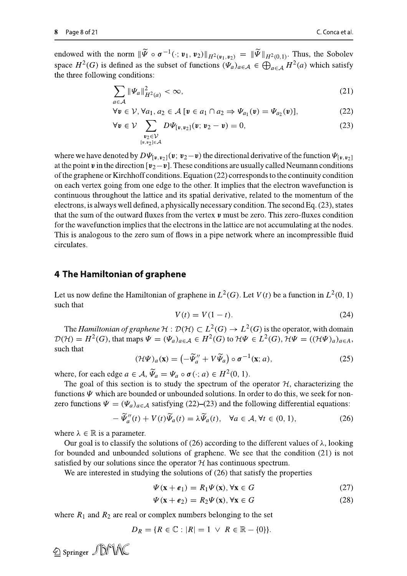endowed with the norm  $\|\widetilde{\Psi}\circ \sigma^{-1}(\cdot; \nu_1, \nu_2)\|_{H^2(\nu_1, \nu_2)} = \|\widetilde{\Psi}\|_{H^2(0,1)}$ . Thus, the Sobolev space  $H^2(G)$  is defined as the subset of functions  $(\Psi_a)_{a \in A} \in \bigoplus_{a \in A} H^2(a)$  which satisfy the three following conditions:

$$
\sum_{a \in \mathcal{A}} \|\varPsi_a\|_{H^2(a)}^2 < \infty,\tag{21}
$$

$$
\forall v \in \mathcal{V}, \forall a_1, a_2 \in \mathcal{A} \ [v \in a_1 \cap a_2 \Rightarrow \Psi_{a_1}(v) = \Psi_{a_2}(v)], \tag{22}
$$

$$
\forall \mathbf{v} \in \mathcal{V} \sum_{\substack{\mathbf{v}_2 \in \mathcal{V} \\ [\mathbf{v}, \mathbf{v}_2] \in A}} D \Psi_{[\mathbf{v}, \mathbf{v}_2]}(\mathbf{v}; \mathbf{v}_2 - \mathbf{v}) = 0, \tag{23}
$$

where we have denoted by  $D\Psi_{[v,v_2]}(v; v_2-v)$  the directional derivative of the function  $\Psi_{[v,v_2]}$ at the point v in the direction  $[v_2-v]$ . These conditions are usually called Neumann conditions of the graphene or Kirchhoff conditions. Equation (22) corresponds to the continuity condition on each vertex going from one edge to the other. It implies that the electron wavefunction is continuous throughout the lattice and its spatial derivative, related to the momentum of the electrons, is always well defined, a physically necessary condition. The second Eq. (23), states that the sum of the outward fluxes from the vertex  $\boldsymbol{v}$  must be zero. This zero-fluxes condition for the wavefunction implies that the electrons in the lattice are not accumulating at the nodes. This is analogous to the zero sum of flows in a pipe network where an incompressible fluid circulates.

## 4 The Hamiltonian of graphene

Let us now define the Hamiltonian of graphene in  $L^2(G)$ . Let  $V(t)$  be a function in  $L^2(0, 1)$ such that

$$
V(t) = V(1 - t).
$$
 (24)

The Hamiltonian of graphene  $H : \mathcal{D}(\mathcal{H}) \subset L^2(G) \to L^2(G)$  is the operator, with domain  $\mathcal{D}(\mathcal{H}) = H^2(G)$ , that maps  $\Psi = (\Psi_a)_{a \in \mathcal{A}} \in H^2(G)$  to  $\mathcal{H}\Psi \in L^2(G)$ ,  $\mathcal{H}\Psi = ((\mathcal{H}\Psi)_a)_{a \in A}$ , such that

$$
(\mathcal{H}\Psi)_a(\mathbf{x}) = \left(-\widetilde{\Psi}_a'' + V\widetilde{\Psi}_a\right) \circ \sigma^{-1}(\mathbf{x};a),\tag{25}
$$

where, for each edge  $a \in A$ ,  $\widetilde{\Psi}_a = \Psi_a \circ \sigma(\cdot; a) \in H^2(0, 1)$ .

The goal of this section is to study the spectrum of the operator  $H$ , characterizing the functions  $\Psi$  which are bounded or unbounded solutions. In order to do this, we seek for nonzero functions  $\Psi = (\Psi_a)_{a \in A}$  satisfying (22)–(23) and the following differential equations:

$$
-\widetilde{\Psi}_{a}''(t) + V(t)\widetilde{\Psi}_{a}(t) = \lambda \widetilde{\Psi}_{a}(t), \quad \forall a \in \mathcal{A}, \forall t \in (0, 1), \tag{26}
$$

where  $\lambda \in \mathbb{R}$  is a parameter.

2 Springer JDMA

Our goal is to classify the solutions of (26) according to the different values of  $\lambda$ , looking for bounded and unbounded solutions of graphene. We see that the condition  $(21)$  is not satisfied by our solutions since the operator  $H$  has continuous spectrum.

We are interested in studying the solutions of  $(26)$  that satisfy the properties

$$
\Psi(\mathbf{x} + \boldsymbol{e}_1) = R_1 \Psi(\mathbf{x}), \forall \mathbf{x} \in G \tag{27}
$$

$$
\Psi(\mathbf{x} + \boldsymbol{e}_2) = R_2 \Psi(\mathbf{x}), \forall \mathbf{x} \in G \tag{28}
$$

where  $R_1$  and  $R_2$  are real or complex numbers belonging to the set

$$
D_R = \{ R \in \mathbb{C} : |R| = 1 \ \lor \ R \in \mathbb{R} - \{0\} \}.
$$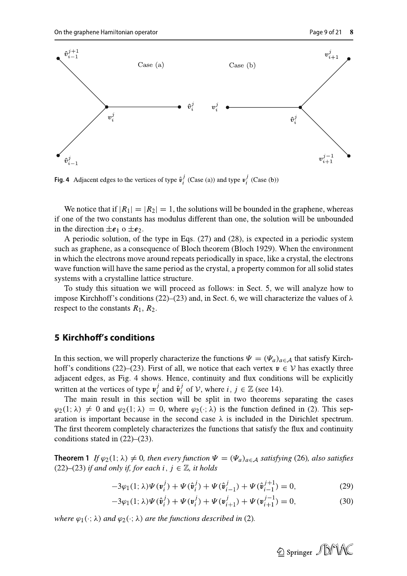

Fig. 4 Adjacent edges to the vertices of type  $\hat{v}_i^j$  (Case (a)) and type  $v_i^j$  (Case (b))

We notice that if  $|R_1| = |R_2| = 1$ , the solutions will be bounded in the graphene, whereas if one of the two constants has modulus different than one, the solution will be unbounded in the direction  $\pm e_1$  o  $\pm e_2$ .

A periodic solution, of the type in Eqs.  $(27)$  and  $(28)$ , is expected in a periodic system such as graphene, as a consequence of Bloch theorem (Bloch 1929). When the environment in which the electrons move around repeats periodically in space, like a crystal, the electrons wave function will have the same period as the crystal, a property common for all solid states systems with a crystalline lattice structure.

To study this situation we will proceed as follows: in Sect. 5, we will analyze how to impose Kirchhoff's conditions (22)–(23) and, in Sect. 6, we will characterize the values of  $\lambda$ respect to the constants  $R_1$ ,  $R_2$ .

## **5 Kirchhoff's conditions**

In this section, we will properly characterize the functions  $\Psi = (\Psi_a)_{a \in \mathcal{A}}$  that satisfy Kirchhoff's conditions (22)–(23). First of all, we notice that each vertex  $v \in V$  has exactly three adjacent edges, as Fig. 4 shows. Hence, continuity and flux conditions will be explicitly written at the vertices of type  $v_i^j$  and  $\hat{v}_i^j$  of  $V$ , where  $i, j \in \mathbb{Z}$  (see 14).

The main result in this section will be split in two theorems separating the cases  $\varphi_2(1;\lambda) \neq 0$  and  $\varphi_2(1;\lambda) = 0$ , where  $\varphi_2(\cdot;\lambda)$  is the function defined in (2). This separation is important because in the second case  $\lambda$  is included in the Dirichlet spectrum. The first theorem completely characterizes the functions that satisfy the flux and continuity conditions stated in  $(22)$ – $(23)$ .

**Theorem 1** If  $\varphi_2(1; \lambda) \neq 0$ , then every function  $\Psi = (\Psi_a)_{a \in A}$  satisfying (26), also satisfies  $(22)$ – $(23)$  if and only if, for each i,  $j \in \mathbb{Z}$ , it holds

$$
-3\varphi_1(1;\lambda)\Psi(\mathbf{v}_i^j) + \Psi(\hat{\mathbf{v}}_i^j) + \Psi(\hat{\mathbf{v}}_{i-1}^j) + \Psi(\hat{\mathbf{v}}_{i-1}^{j+1}) = 0,\tag{29}
$$

$$
-3\varphi_1(1;\lambda)\Psi(\hat{\mathbf{v}}_i^j) + \Psi(\mathbf{v}_i^j) + \Psi(\mathbf{v}_{i+1}^j) + \Psi(\mathbf{v}_{i+1}^{j-1}) = 0,
$$
\n(30)

where  $\varphi_1(\cdot; \lambda)$  and  $\varphi_2(\cdot; \lambda)$  are the functions described in (2).

2 Springer JUNK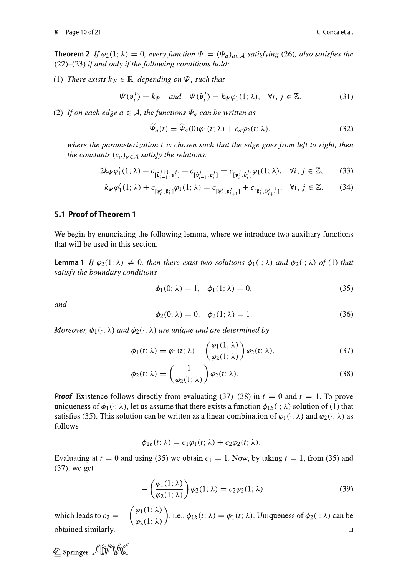**Theorem 2** If  $\varphi_2(1; \lambda) = 0$ , every function  $\Psi = (\Psi_a)_{a \in \mathcal{A}}$  satisfying (26), also satisfies the  $(22)$ – $(23)$  if and only if the following conditions hold:

(1) There exists  $k_{\Psi} \in \mathbb{R}$ , depending on  $\Psi$ , such that

$$
\Psi(\mathbf{v}_i^j) = k_{\Psi} \quad \text{and} \quad \Psi(\hat{\mathbf{v}}_i^j) = k_{\Psi} \varphi_1(1; \lambda), \quad \forall i, j \in \mathbb{Z}.
$$
 (31)

(2) If on each edge  $a \in A$ , the functions  $\Psi_a$  can be written as

$$
\widetilde{\Psi}_a(t) = \widetilde{\Psi}_a(0)\varphi_1(t;\lambda) + c_a\varphi_2(t;\lambda),\tag{32}
$$

where the parameterization t is chosen such that the edge goes from left to right, then the constants  $(c_a)_{a \in A}$  satisfy the relations:

$$
2k_{\Psi}\varphi'_{1}(1;\lambda) + c_{[\hat{\mathbf{v}}_{i-1}^{j+1}, \mathbf{v}_{i}^{j}]} + c_{[\hat{\mathbf{v}}_{i-1}^{j}, \mathbf{v}_{i}^{j}]} = c_{[\mathbf{v}_{i}^{j}, \hat{\mathbf{v}}_{i}^{j}]} \varphi_{1}(1;\lambda), \quad \forall i, j \in \mathbb{Z},
$$
 (33)

$$
k_{\Psi}\varphi'_{1}(1;\lambda) + c_{\left[\mathfrak{v}_{i}^{j},\hat{\mathfrak{v}}_{i}^{j}\right]}\varphi_{1}(1;\lambda) = c_{\left[\hat{\mathfrak{v}}_{i}^{j},\mathfrak{v}_{i+1}^{j}\right]} + c_{\left[\hat{\mathfrak{v}}_{i}^{j},\hat{\mathfrak{v}}_{i+1}^{j-1}\right]}, \quad \forall i, j \in \mathbb{Z}.\tag{34}
$$

#### 5.1 Proof of Theorem 1

We begin by enunciating the following lemma, where we introduce two auxiliary functions that will be used in this section.

**Lemma 1** If  $\varphi_2(1; \lambda) \neq 0$ , then there exist two solutions  $\varphi_1(\cdot; \lambda)$  and  $\varphi_2(\cdot; \lambda)$  of (1) that satisfy the boundary conditions

$$
\phi_1(0; \lambda) = 1, \quad \phi_1(1; \lambda) = 0,\tag{35}
$$

and

$$
\phi_2(0; \lambda) = 0, \quad \phi_2(1; \lambda) = 1. \tag{36}
$$

Moreover,  $\phi_1(\cdot; \lambda)$  and  $\phi_2(\cdot; \lambda)$  are unique and are determined by

$$
\phi_1(t; \lambda) = \varphi_1(t; \lambda) - \left(\frac{\varphi_1(1; \lambda)}{\varphi_2(1; \lambda)}\right) \varphi_2(t; \lambda), \tag{37}
$$

$$
\phi_2(t; \lambda) = \left(\frac{1}{\varphi_2(1; \lambda)}\right) \varphi_2(t; \lambda).
$$
\n(38)

**Proof** Existence follows directly from evaluating (37)–(38) in  $t = 0$  and  $t = 1$ . To prove uniqueness of  $\phi_1(\cdot; \lambda)$ , let us assume that there exists a function  $\phi_{1b}(\cdot; \lambda)$  solution of (1) that satisfies (35). This solution can be written as a linear combination of  $\varphi_1(\cdot; \lambda)$  and  $\varphi_2(\cdot; \lambda)$  as follows

$$
\phi_{1b}(t; \lambda) = c_1 \varphi_1(t; \lambda) + c_2 \varphi_2(t; \lambda).
$$

Evaluating at  $t = 0$  and using (35) we obtain  $c_1 = 1$ . Now, by taking  $t = 1$ , from (35) and  $(37)$ , we get

$$
-\left(\frac{\varphi_1(1;\lambda)}{\varphi_2(1;\lambda)}\right)\varphi_2(1;\lambda) = c_2\varphi_2(1;\lambda)
$$
\n(39)

which leads to  $c_2 = -\left(\frac{\varphi_1(1;\lambda)}{\varphi_2(1;\lambda)}\right)$ , i.e.,  $\phi_{1b}(t;\lambda) = \phi_1(t;\lambda)$ . Uniqueness of  $\phi_2(\cdot;\lambda)$  can be obtained similarly.  $\Box$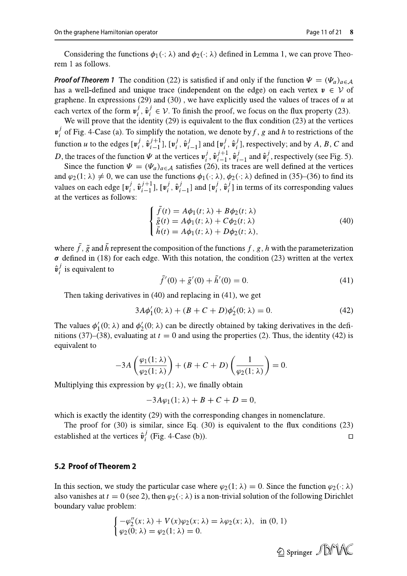**Proof of Theorem 1** The condition (22) is satisfied if and only if the function  $\Psi = (\Psi_a)_{a \in A}$ has a well-defined and unique trace (independent on the edge) on each vertex  $v \in V$  of graphene. In expressions (29) and (30), we have explicitly used the values of traces of  $u$  at each vertex of the form  $v_i^j$ ,  $\hat{v}_i^j \in V$ . To finish the proof, we focus on the flux property (23).<br>We will prove that the identity (29) is equivalent to the flux condition (23) at the vertices

 $v_i^j$  of Fig. 4-Case (a). To simplify the notation, we denote by f, g and h to restrictions of the function u to the edges  $[\mathbf{v}_i^j, \hat{\mathbf{v}}_{i-1}^{j+1}]$ ,  $[\mathbf{v}_i^j, \hat{\mathbf{v}}_{i-1}^j]$  and  $[\mathbf{v}_i^j, \hat{\mathbf{v}}_i^j]$ , respectively; and by A, B, C and *D*, the traces of the function  $\Psi$  at the vertices  $v_i^j$ ,  $\hat{v}_{i-1}^{j+1}$ ,  $\hat{v}_{i-1}^j$  and  $\hat{v}_i^j$ , respectively (see Fig. 5).<br>Since the function  $\Psi = (\Psi_a)_{a \in \mathcal{A}}$  satisfies (26), its traces are well defined at

and  $\varphi_2(1; \lambda) \neq 0$ , we can use the functions  $\phi_1(\cdot; \lambda)$ ,  $\phi_2(\cdot; \lambda)$  defined in (35)–(36) to find its values on each edge  $[v_i^j, \hat{v}_{i-1}^{j+1}]$ ,  $[v_i^j, \hat{v}_{i-1}^j]$  and  $[v_i^j, \hat{v}_i^j]$  in terms of its corresponding values at the vertices as follows:

$$
\begin{cases}\n\tilde{f}(t) = A\phi_1(t; \lambda) + B\phi_2(t; \lambda) \\
\tilde{g}(t) = A\phi_1(t; \lambda) + C\phi_2(t; \lambda) \\
\tilde{h}(t) = A\phi_1(t; \lambda) + D\phi_2(t; \lambda),\n\end{cases}
$$
\n(40)

where  $\tilde{f}$ ,  $\tilde{g}$  and  $\tilde{h}$  represent the composition of the functions f, g, h with the parameterization  $\sigma$  defined in (18) for each edge. With this notation, the condition (23) written at the vertex  $\hat{\mathbf{v}}_i^j$  is equivalent to

$$
\tilde{f}'(0) + \tilde{g}'(0) + \tilde{h}'(0) = 0.
$$
\n(41)

Then taking derivatives in  $(40)$  and replacing in  $(41)$ , we get

$$
3A\phi'_1(0; \lambda) + (B + C + D)\phi'_2(0; \lambda) = 0.
$$
 (42)

The values  $\phi'_1(0; \lambda)$  and  $\phi'_2(0; \lambda)$  can be directly obtained by taking derivatives in the definitions (37)–(38), evaluating at  $t = 0$  and using the properties (2). Thus, the identity (42) is equivalent to

$$
-3A\left(\frac{\varphi_1(1;\lambda)}{\varphi_2(1;\lambda)}\right) + (B+C+D)\left(\frac{1}{\varphi_2(1;\lambda)}\right) = 0.
$$

Multiplying this expression by  $\varphi_2(1; \lambda)$ , we finally obtain

$$
-3A\varphi_1(1;\lambda)+B+C+D=0,
$$

which is exactly the identity  $(29)$  with the corresponding changes in nomenclature.

The proof for  $(30)$  is similar, since Eq.  $(30)$  is equivalent to the flux conditions  $(23)$ established at the vertices  $\hat{v}_i^j$  (Fig. 4-Case (b)).  $\Box$ 

#### 5.2 Proof of Theorem 2

In this section, we study the particular case where  $\varphi_2(1; \lambda) = 0$ . Since the function  $\varphi_2(\cdot; \lambda)$ also vanishes at  $t = 0$  (see 2), then  $\varphi_2(\cdot; \lambda)$  is a non-trivial solution of the following Dirichlet boundary value problem:

$$
\begin{cases}\n-\varphi_2''(x;\lambda) + V(x)\varphi_2(x;\lambda) = \lambda \varphi_2(x;\lambda), & \text{in } (0,1) \\
\varphi_2(0;\lambda) = \varphi_2(1;\lambda) = 0.\n\end{cases}
$$

Page 11 of 21 8

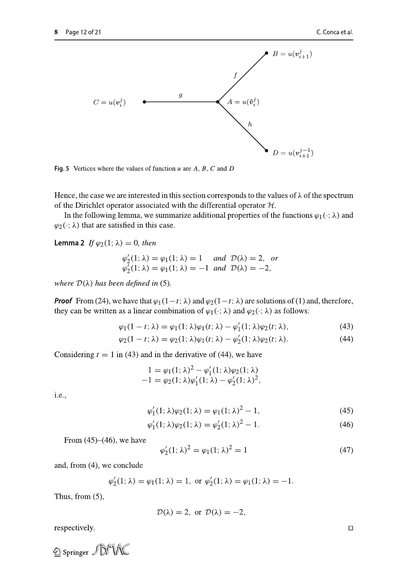

In the following lemma, we summarize additional properties of the functions  $\varphi_1(\cdot;\lambda)$  and  $\varphi_2(\cdot; \lambda)$  that are satisfied in this case.

**Lemma 2** If  $\varphi_2(1;\lambda) = 0$ , then

$$
\varphi_2'(1; \lambda) = \varphi_1(1; \lambda) = 1 \quad \text{and} \quad \mathcal{D}(\lambda) = 2, \text{ or}
$$
  

$$
\varphi_2'(1; \lambda) = \varphi_1(1; \lambda) = -1 \text{ and } \mathcal{D}(\lambda) = -2,
$$

where  $\mathcal{D}(\lambda)$  has been defined in (5).

**Proof** From (24), we have that  $\varphi_1(1-t; \lambda)$  and  $\varphi_2(1-t; \lambda)$  are solutions of (1) and, therefore, they can be written as a linear combination of  $\varphi_1(\cdot;\lambda)$  and  $\varphi_2(\cdot;\lambda)$  as follows:

$$
\varphi_1(1-t; \lambda) = \varphi_1(1; \lambda)\varphi_1(t; \lambda) - \varphi_1'(1; \lambda)\varphi_2(t; \lambda), \tag{43}
$$

$$
\varphi_2(1-t; \lambda) = \varphi_2(1; \lambda)\varphi_1(t; \lambda) - \varphi_2'(1; \lambda)\varphi_2(t; \lambda).
$$
\n(44)

Considering  $t = 1$  in (43) and in the derivative of (44), we have

$$
1 = \varphi_1(1; \lambda)^2 - \varphi'_1(1; \lambda)\varphi_2(1; \lambda) -1 = \varphi_2(1; \lambda)\varphi'_1(1; \lambda) - \varphi'_2(1; \lambda)^2,
$$

i.e.,

$$
\varphi_1'(1; \lambda)\varphi_2(1; \lambda) = \varphi_1(1; \lambda)^2 - 1,\tag{45}
$$

$$
\varphi_1'(1; \lambda)\varphi_2(1; \lambda) = \varphi_2'(1; \lambda)^2 - 1.
$$
 (46)

From  $(45)$ – $(46)$ , we have

$$
\varphi_2'(1; \lambda)^2 = \varphi_1(1; \lambda)^2 = 1 \tag{47}
$$

and, from  $(4)$ , we conclude

$$
\varphi'_2(1; \lambda) = \varphi_1(1; \lambda) = 1
$$
, or  $\varphi'_2(1; \lambda) = \varphi_1(1; \lambda) = -1$ .

Thus, from  $(5)$ ,

$$
\mathcal{D}(\lambda) = 2, \text{ or } \mathcal{D}(\lambda) = -2,
$$

 $\Box$  respectively.

 $\textcircled{2}$  Springer  $\textcircled{1}$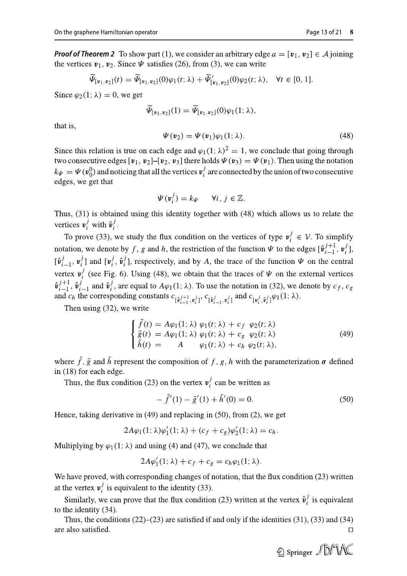**Proof of Theorem 2** To show part (1), we consider an arbitrary edge  $a = [\mathbf{v}_1, \mathbf{v}_2] \in \mathcal{A}$  joining the vertices  $v_1$ ,  $v_2$ . Since  $\Psi$  satisfies (26), from (3), we can write

$$
\widetilde{\Psi}_{[\nu_1,\nu_2]}(t) = \widetilde{\Psi}_{[\nu_1,\nu_2]}(0)\varphi_1(t;\lambda) + \widetilde{\Psi}_{[\nu_1,\nu_2]}'(0)\varphi_2(t;\lambda), \quad \forall t \in [0,1].
$$

Since  $\varphi_2(1;\lambda) = 0$ , we get

$$
\widetilde{\Psi}_{[\mathbf{v}_1,\mathbf{v}_2]}(1) = \widetilde{\Psi}_{[\mathbf{v}_1,\mathbf{v}_2]}(0)\varphi_1(1;\lambda),
$$

that is.

$$
\Psi(\mathbf{v}_2) = \Psi(\mathbf{v}_1)\varphi_1(1; \lambda). \tag{48}
$$

Since this relation is true on each edge and  $\varphi_1(1; \lambda)^2 = 1$ , we conclude that going through two consecutive edges [ $v_1$ ,  $v_2$ ]-[ $v_2$ ,  $v_3$ ] there holds  $\Psi(v_3) = \Psi(v_1)$ . Then using the notation  $k_{\Psi} = \Psi(\mathbf{v}_0^0)$  and noticing that all the vertices  $\mathbf{v}_i^j$  are connected by the union of two consecutive edges, we get that

$$
\Psi(\mathbf{v}_i^j) = k\psi \qquad \forall i, j \in \mathbb{Z}.
$$

Thus, (31) is obtained using this identity together with (48) which allows us to relate the vertices  $v_i^j$  with  $\hat{v}_i^j$ .

To prove (33), we study the flux condition on the vertices of type  $v_i^j \in V$ . To simplify notation, we denote by f, g and h, the restriction of the function  $\Psi$  to the edges  $[\hat{\mathbf{v}}_{i-1}^{j+1}, \mathbf{v}_i^j]$ ,  $[\hat{\mathbf{v}}_{i-1}^j, \mathbf{v}_i^j]$  and  $[\mathbf{v}_i^j, \hat{\mathbf{v}}_i^j]$ , respectively, and by A, the trace of the function  $\Psi$  on the central vertex  $v_i^j$  (see Fig. 6). Using (48), we obtain that the traces of  $\Psi$  on the external vertices  $\hat{\mathbf{v}}_{i-1}^{j+1}$ ,  $\hat{\mathbf{v}}_{i-1}^{j}$  and  $\hat{\mathbf{v}}_{i}^{j}$ , are equal to  $A\varphi_1(1;\lambda)$ . To use the notation in (32), we denote by  $c_f$ ,  $c_g$ and  $c_h$  the corresponding constants  $c_{\lbrack \hat{v}_{i-1}^{j+1},v_i^j \rbrack}$ ,  $c_{\lbrack \hat{v}_{i-1}^{j},v_i^j \rbrack}$  and  $c_{\lbrack v_i^j,\hat{v}_i^j \rbrack} \varphi_1(1;\lambda)$ .

Then using  $(32)$ , we write

$$
\begin{cases}\n\tilde{f}(t) = A\varphi_1(1; \lambda) \varphi_1(t; \lambda) + c_f \varphi_2(t; \lambda) \\
\tilde{g}(t) = A\varphi_1(1; \lambda) \varphi_1(t; \lambda) + c_g \varphi_2(t; \lambda) \\
\tilde{h}(t) = A \varphi_1(t; \lambda) + c_h \varphi_2(t; \lambda),\n\end{cases}
$$
\n(49)

where  $\tilde{f}$ ,  $\tilde{g}$  and  $\tilde{h}$  represent the composition of f, g, h with the parameterization  $\sigma$  defined in (18) for each edge.

Thus, the flux condition (23) on the vertex  $v_i^j$  can be written as

$$
- \tilde{f}'(1) - \tilde{g}'(1) + \tilde{h}'(0) = 0.
$$
 (50)

Hence, taking derivative in  $(49)$  and replacing in  $(50)$ , from  $(2)$ , we get

$$
2A\varphi_1(1;\lambda)\varphi_1'(1;\lambda) + (c_f + c_g)\varphi_2'(1;\lambda) = c_h.
$$

Multiplying by  $\varphi_1(1; \lambda)$  and using (4) and (47), we conclude that

$$
2A\varphi_1'(1; \lambda) + c_f + c_g = c_h \varphi_1(1; \lambda).
$$

We have proved, with corresponding changes of notation, that the flux condition (23) written at the vertex  $v_i^j$  is equivalent to the identity (33).

Similarly, we can prove that the flux condition (23) written at the vertex  $\hat{v}_i^j$  is equivalent to the identity  $(34)$ .

Thus, the conditions  $(22)$ – $(23)$  are satisfied if and only if the identities  $(31)$ ,  $(33)$  and  $(34)$ are also satisfied.  $\Box$ 

2 Springer JDMAC

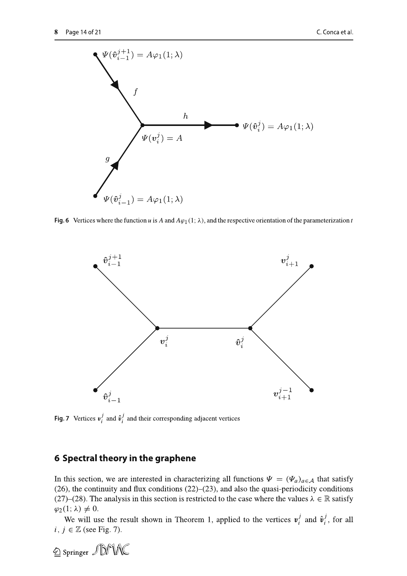

Fig. 6 Vertices where the function u is A and  $A\varphi_1(1;\lambda)$ , and the respective orientation of the parameterization t



**Fig. 7** Vertices  $v_i^j$  and  $\hat{v}_i^j$  and their corresponding adjacent vertices

# 6 Spectral theory in the graphene

In this section, we are interested in characterizing all functions  $\Psi = (\Psi_a)_{a \in \mathcal{A}}$  that satisfy  $(26)$ , the continuity and flux conditions  $(22)$ – $(23)$ , and also the quasi-periodicity conditions (27)–(28). The analysis in this section is restricted to the case where the values  $\lambda \in \mathbb{R}$  satisfy  $\varphi_2(1;\lambda) \neq 0.$ 

We will use the result shown in Theorem 1, applied to the vertices  $v_i^j$  and  $\hat{v}_i^j$ , for all  $i, j \in \mathbb{Z}$  (see Fig. 7).

2 Springer JDMNC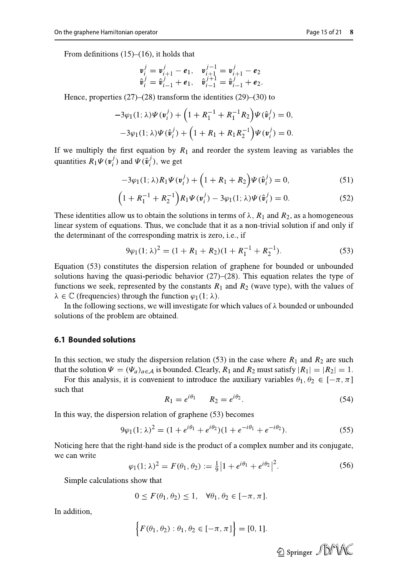$$
\begin{array}{ll}\n\mathbf{v}_i^j = \mathbf{v}_{i+1}^j - \mathbf{e}_1, & \mathbf{v}_{i+1}^{j-1} = \mathbf{v}_{i+1}^j - \mathbf{e}_2 \\
\hat{\mathbf{v}}_i^j = \hat{\mathbf{v}}_{i-1}^j + \mathbf{e}_1, & \hat{\mathbf{v}}_{i-1}^{j+1} = \hat{\mathbf{v}}_{i-1}^j + \mathbf{e}_2.\n\end{array}
$$

Hence, properties  $(27)$ – $(28)$  transform the identities  $(29)$ – $(30)$  to

$$
-3\varphi_1(1; \lambda)\Psi(\mathbf{v}_i^j) + \left(1 + R_1^{-1} + R_1^{-1}R_2\right)\Psi(\hat{\mathbf{v}}_i^j) = 0,
$$
  

$$
-3\varphi_1(1; \lambda)\Psi(\hat{\mathbf{v}}_i^j) + \left(1 + R_1 + R_1R_2^{-1}\right)\Psi(\mathbf{v}_i^j) = 0.
$$

If we multiply the first equation by  $R_1$  and reorder the system leaving as variables the quantities  $R_1\Psi(v_i^j)$  and  $\Psi(\hat{v}_i^j)$ , we get

$$
-3\varphi_1(1;\lambda)R_1\Psi(\mathbf{v}_i^j) + \left(1 + R_1 + R_2\right)\Psi(\hat{\mathbf{v}}_i^j) = 0,\tag{51}
$$

$$
(1 + R_1^{-1} + R_2^{-1})R_1\Psi(\mathbf{v}_i^j) - 3\varphi_1(1; \lambda)\Psi(\hat{\mathbf{v}}_i^j) = 0.
$$
 (52)

These identities allow us to obtain the solutions in terms of  $\lambda$ ,  $R_1$  and  $R_2$ , as a homogeneous linear system of equations. Thus, we conclude that it as a non-trivial solution if and only if the determinant of the corresponding matrix is zero, i.e., if

$$
9\varphi_1(1;\lambda)^2 = (1+R_1+R_2)(1+R_1^{-1}+R_2^{-1}).
$$
\n(53)

Equation (53) constitutes the dispersion relation of graphene for bounded or unbounded solutions having the quasi-periodic behavior  $(27)$ – $(28)$ . This equation relates the type of functions we seek, represented by the constants  $R_1$  and  $R_2$  (wave type), with the values of  $\lambda \in \mathbb{C}$  (frequencies) through the function  $\varphi_1(1; \lambda)$ .

In the following sections, we will investigate for which values of  $\lambda$  bounded or unbounded solutions of the problem are obtained.

#### **6.1 Bounded solutions**

In this section, we study the dispersion relation (53) in the case where  $R_1$  and  $R_2$  are such that the solution  $\Psi = (\Psi_a)_{a \in A}$  is bounded. Clearly,  $R_1$  and  $R_2$  must satisfy  $|R_1| = |R_2| = 1$ .

For this analysis, it is convenient to introduce the auxiliary variables  $\theta_1, \theta_2 \in [-\pi, \pi]$ such that

$$
R_1 = e^{i\theta_1} \qquad R_2 = e^{i\theta_2}.\tag{54}
$$

In this way, the dispersion relation of graphene (53) becomes

$$
9\varphi_1(1;\lambda)^2 = (1 + e^{i\theta_1} + e^{i\theta_2})(1 + e^{-i\theta_1} + e^{-i\theta_2}).
$$
\n(55)

Noticing here that the right-hand side is the product of a complex number and its conjugate, we can write

$$
\varphi_1(1; \lambda)^2 = F(\theta_1, \theta_2) := \frac{1}{9} \left| 1 + e^{i\theta_1} + e^{i\theta_2} \right|^2. \tag{56}
$$

Simple calculations show that

$$
0 \le F(\theta_1, \theta_2) \le 1, \quad \forall \theta_1, \theta_2 \in [-\pi, \pi].
$$

In addition,

$$
\{F(\theta_1, \theta_2) : \theta_1, \theta_2 \in [-\pi, \pi]\} = [0, 1].
$$

2 Springer JDMA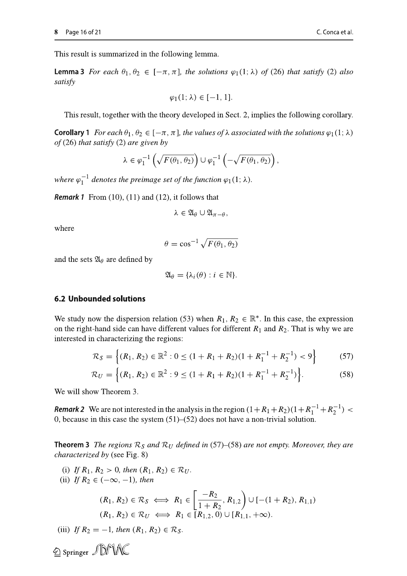**Lemma 3** For each  $\theta_1, \theta_2 \in [-\pi, \pi]$ , the solutions  $\varphi_1(1; \lambda)$  of (26) that satisfy (2) also satisfy

$$
\varphi_1(1; \lambda) \in [-1, 1].
$$

This result, together with the theory developed in Sect. 2, implies the following corollary.

**Corollary 1** For each  $\theta_1, \theta_2 \in [-\pi, \pi]$ , the values of  $\lambda$  associated with the solutions  $\varphi_1(1; \lambda)$ of  $(26)$  that satisfy  $(2)$  are given by

$$
\lambda \in \varphi_1^{-1}\left(\sqrt{F(\theta_1, \theta_2)}\right) \cup \varphi_1^{-1}\left(-\sqrt{F(\theta_1, \theta_2)}\right),\,
$$

where  $\varphi_1^{-1}$  denotes the preimage set of the function  $\varphi_1(1; \lambda)$ .

**Remark 1** From  $(10)$ ,  $(11)$  and  $(12)$ , it follows that

$$
\lambda\in\mathfrak{A}_\theta\cup\mathfrak{A}_{\pi-\theta},
$$

where

$$
\theta = \cos^{-1} \sqrt{F(\theta_1, \theta_2)}
$$

and the sets  $\mathfrak{A}_{\theta}$  are defined by

$$
\mathfrak{A}_{\theta} = {\lambda_i(\theta) : i \in \mathbb{N}}.
$$

#### **6.2 Unbounded solutions**

We study now the dispersion relation (53) when  $R_1, R_2 \in \mathbb{R}^*$ . In this case, the expression on the right-hand side can have different values for different  $R_1$  and  $R_2$ . That is why we are interested in characterizing the regions:

$$
\mathcal{R}_S = \left\{ (R_1, R_2) \in \mathbb{R}^2 : 0 \le (1 + R_1 + R_2)(1 + R_1^{-1} + R_2^{-1}) < 9 \right\} \tag{57}
$$

$$
\mathcal{R}_U = \left\{ (R_1, R_2) \in \mathbb{R}^2 : 9 \le (1 + R_1 + R_2)(1 + R_1^{-1} + R_2^{-1}) \right\}.
$$
 (58)

We will show Theorem 3.

**Remark 2** We are not interested in the analysis in the region  $(1+R_1+R_2)(1+R_1^{-1}+R_2^{-1})$ 0, because in this case the system  $(51)$ – $(52)$  does not have a non-trivial solution.

**Theorem 3** The regions  $\mathcal{R}_S$  and  $\mathcal{R}_U$  defined in (57)–(58) are not empty. Moreover, they are *characterized by (see Fig. 8)* 

(i) If  $R_1, R_2 > 0$ , then  $(R_1, R_2) \in \mathcal{R}_U$ .

(ii) If  $R_2 \in (-\infty, -1)$ , then

$$
(R_1, R_2) \in \mathcal{R}_S \iff R_1 \in \left[\frac{-R_2}{1 + R_2}, R_{1,2}\right) \cup \left[-(1 + R_2), R_{1,1}\right)
$$
  

$$
(R_1, R_2) \in \mathcal{R}_U \iff R_1 \in \left[R_{1,2}, 0\right) \cup \left[R_{1,1}, +\infty\right).
$$

(iii) If  $R_2 = -1$ , then  $(R_1, R_2) \in \mathcal{R}_S$ .

2 Springer JDM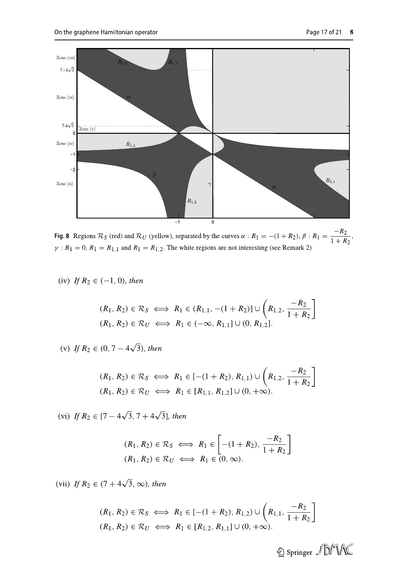

Fig. 8 Regions  $\mathcal{R}_S$  (red) and  $\mathcal{R}_U$  (yellow), separated by the curves  $\alpha$  :  $R_1 = -(1 + R_2), \beta$  :  $R_1 = \frac{-R_2}{1 + R_2}$ ,  $\gamma$ :  $R_1 = 0$ ,  $R_1 = R_{1,1}$  and  $R_1 = R_{1,2}$ . The white regions are not interesting (see Remark 2)

(iv) If  $R_2 \in (-1, 0)$ , then

$$
(R_1, R_2) \in \mathcal{R}_S \iff R_1 \in (R_{1,1}, -(1 + R_2)] \cup \left(R_{1,2}, \frac{-R_2}{1 + R_2}\right]
$$
  

$$
(R_1, R_2) \in \mathcal{R}_U \iff R_1 \in (-\infty, R_{1,1}] \cup (0, R_{1,2}].
$$

(v) If  $R_2 \in (0, 7 - 4\sqrt{3})$ , then

$$
(R_1, R_2) \in \mathcal{R}_S \iff R_1 \in [-(1 + R_2), R_{1,1}) \cup \left(R_{1,2}, \frac{-R_2}{1 + R_2}\right]
$$
  

$$
(R_1, R_2) \in \mathcal{R}_U \iff R_1 \in [R_{1,1}, R_{1,2}] \cup (0, +\infty).
$$

(vi) If  $R_2 \in [7-4\sqrt{3}, 7+4\sqrt{3}]$ , then

$$
(R_1, R_2) \in \mathcal{R}_S \iff R_1 \in \left[ -(1 + R_2), \frac{-R_2}{1 + R_2} \right]
$$
  

$$
(R_1, R_2) \in \mathcal{R}_U \iff R_1 \in (0, \infty).
$$

(vii) If  $R_2 \in (7 + 4\sqrt{3}, \infty)$ , then

$$
(R_1, R_2) \in \mathcal{R}_S \iff R_1 \in [-(1 + R_2), R_{1,2}) \cup \left(R_{1,1}, \frac{-R_2}{1 + R_2}\right]
$$
  

$$
(R_1, R_2) \in \mathcal{R}_U \iff R_1 \in [R_{1,2}, R_{1,1}] \cup (0, +\infty).
$$

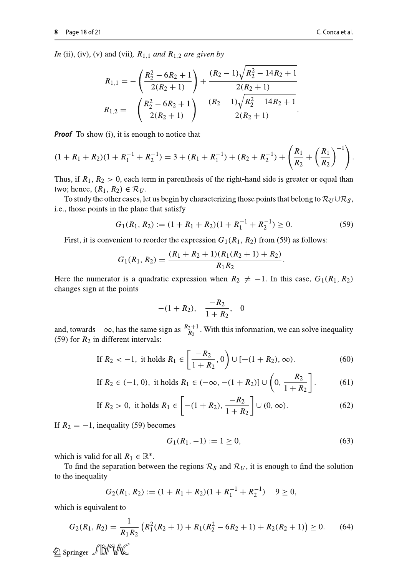$$
R_{1,1} = -\left(\frac{R_2^2 - 6R_2 + 1}{2(R_2 + 1)}\right) + \frac{(R_2 - 1)\sqrt{R_2^2 - 14R_2 + 1}}{2(R_2 + 1)}
$$
  

$$
R_{1,2} = -\left(\frac{R_2^2 - 6R_2 + 1}{2(R_2 + 1)}\right) - \frac{(R_2 - 1)\sqrt{R_2^2 - 14R_2 + 1}}{2(R_2 + 1)}.
$$

**Proof** To show (i), it is enough to notice that

$$
(1 + R_1 + R_2)(1 + R_1^{-1} + R_2^{-1}) = 3 + (R_1 + R_1^{-1}) + (R_2 + R_2^{-1}) + \left(\frac{R_1}{R_2} + \left(\frac{R_1}{R_2}\right)^{-1}\right).
$$

Thus, if  $R_1, R_2 > 0$ , each term in parenthesis of the right-hand side is greater or equal than two; hence,  $(R_1, R_2) \in \mathcal{R}_U$ .

To study the other cases, let us begin by characterizing those points that belong to  $\mathcal{R}_U \cup \mathcal{R}_S$ , i.e., those points in the plane that satisfy

$$
G_1(R_1, R_2) := (1 + R_1 + R_2)(1 + R_1^{-1} + R_2^{-1}) \ge 0.
$$
 (59)

First, it is convenient to reorder the expression  $G_1(R_1, R_2)$  from (59) as follows:

$$
G_1(R_1, R_2) = \frac{(R_1 + R_2 + 1)(R_1(R_2 + 1) + R_2)}{R_1 R_2}
$$

Here the numerator is a quadratic expression when  $R_2 \neq -1$ . In this case,  $G_1(R_1, R_2)$ changes sign at the points

$$
-(1+R_2), \quad \frac{-R_2}{1+R_2}, \quad 0
$$

and, towards  $-\infty$ , has the same sign as  $\frac{R_2+1}{R_2}$ . With this information, we can solve inequality (59) for  $R_2$  in different intervals:

If 
$$
R_2 < -1
$$
, it holds  $R_1 \in \left[\frac{-R_2}{1 + R_2}, 0\right) \cup \left[-(1 + R_2), \infty\right)$ . (60)

If 
$$
R_2 \in (-1, 0)
$$
, it holds  $R_1 \in (-\infty, -(1 + R_2)] \cup \left(0, \frac{-R_2}{1 + R_2}\right]$ . (61)

If 
$$
R_2 > 0
$$
, it holds  $R_1 \in \left[ -(1 + R_2), \frac{-R_2}{1 + R_2} \right] \cup (0, \infty)$ . (62)

If  $R_2 = -1$ , inequality (59) becomes

$$
G_1(R_1, -1) := 1 \ge 0,\t(63)
$$

which is valid for all  $R_1 \in \mathbb{R}^*$ .

To find the separation between the regions  $\mathcal{R}_S$  and  $\mathcal{R}_U$ , it is enough to find the solution to the inequality

$$
G_2(R_1, R_2) := (1 + R_1 + R_2)(1 + R_1^{-1} + R_2^{-1}) - 9 \ge 0,
$$

which is equivalent to

$$
G_2(R_1, R_2) = \frac{1}{R_1 R_2} \left( R_1^2 (R_2 + 1) + R_1 (R_2^2 - 6R_2 + 1) + R_2 (R_2 + 1) \right) \ge 0. \tag{64}
$$
  
© Springer  $\mathcal{D}^{\mathcal{C}} \mathcal{D}^{\mathcal{C}}$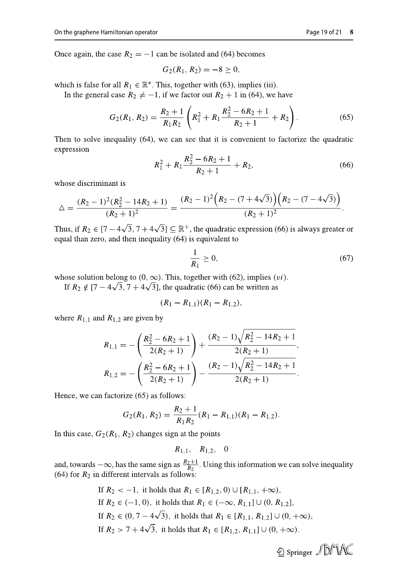$$
G_2(R_1, R_2) = -8 \ge 0,
$$

which is false for all  $R_1 \in \mathbb{R}^*$ . This, together with (63), implies (iii).

In the general case  $R_2 \neq -1$ , if we factor out  $R_2 + 1$  in (64), we have

$$
G_2(R_1, R_2) = \frac{R_2 + 1}{R_1 R_2} \left( R_1^2 + R_1 \frac{R_2^2 - 6R_2 + 1}{R_2 + 1} + R_2 \right). \tag{65}
$$

Then to solve inequality (64), we can see that it is convenient to factorize the quadratic expression

$$
R_1^2 + R_1 \frac{R_2^2 - 6R_2 + 1}{R_2 + 1} + R_2, \tag{66}
$$

whose discriminant is

$$
\Delta = \frac{(R_2 - 1)^2 (R_2^2 - 14R_2 + 1)}{(R_2 + 1)^2} = \frac{(R_2 - 1)^2 (R_2 - (7 + 4\sqrt{3})) (R_2 - (7 - 4\sqrt{3}))}{(R_2 + 1)^2}.
$$

Thus, if  $R_2 \in [7-4\sqrt{3}, 7+4\sqrt{3}] \subseteq \mathbb{R}^+$ , the quadratic expression (66) is always greater or equal than zero, and then inequality (64) is equivalent to

$$
\frac{1}{R_1} \ge 0,\tag{67}
$$

whose solution belong to  $(0, \infty)$ . This, together with (62), implies (*vi*).

If  $R_2 \notin [7-4\sqrt{3}, 7+4\sqrt{3}]$ , the quadratic (66) can be written as

$$
(R_1 - R_{1,1})(R_1 - R_{1,2}),
$$

where  $R_{1,1}$  and  $R_{1,2}$  are given by

$$
R_{1,1} = -\left(\frac{R_2^2 - 6R_2 + 1}{2(R_2 + 1)}\right) + \frac{(R_2 - 1)\sqrt{R_2^2 - 14R_2 + 1}}{2(R_2 + 1)},
$$
  

$$
R_{1,2} = -\left(\frac{R_2^2 - 6R_2 + 1}{2(R_2 + 1)}\right) - \frac{(R_2 - 1)\sqrt{R_2^2 - 14R_2 + 1}}{2(R_2 + 1)}.
$$

Hence, we can factorize (65) as follows:

$$
G_2(R_1, R_2) = \frac{R_2 + 1}{R_1 R_2} (R_1 - R_{1,1})(R_1 - R_{1,2}).
$$

In this case,  $G_2(R_1, R_2)$  changes sign at the points

$$
R_{1,1}, R_{1,2}, 0
$$

and, towards  $-\infty$ , has the same sign as  $\frac{R_2+1}{R_2}$ . Using this information we can solve inequality (64) for  $R_2$  in different intervals as follows:

> If  $R_2 < -1$ , it holds that  $R_1 \in [R_{1,2}, 0) \cup [R_{1,1}, +\infty)$ , If  $R_2 \in (-1, 0)$ , it holds that  $R_1 \in (-\infty, R_{1,1}] \cup (0, R_{1,2}],$ If  $R_2 \in (0, 7 - 4\sqrt{3})$ , it holds that  $R_1 \in [R_{1,1}, R_{1,2}] \cup (0, +\infty)$ , If  $R_2 > 7 + 4\sqrt{3}$ , it holds that  $R_1 \in [R_{1,2}, R_{1,1}] \cup (0, +\infty)$ .

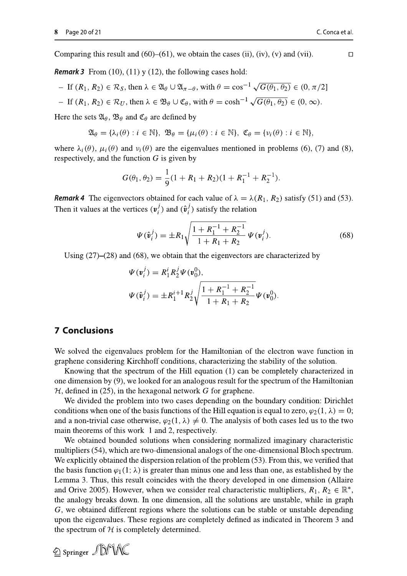Comparing this result and  $(60)$ – $(61)$ , we obtain the cases (ii), (iv), (v) and (vii).

 $\Box$ 

**Remark 3** From (10), (11) y (12), the following cases hold:

- $-$  If  $(R_1, R_2) \in \mathcal{R}_S$ , then  $\lambda \in \mathfrak{A}_{\theta} \cup \mathfrak{A}_{\pi-\theta}$ , with  $\theta = \cos^{-1} \sqrt{G(\theta_1, \theta_2)} \in (0, \pi/2]$
- $-$  If  $(R_1, R_2) \in \mathcal{R}_U$ , then  $\lambda \in \mathfrak{B}_{\theta} \cup \mathfrak{C}_{\theta}$ , with  $\theta = \cosh^{-1} \sqrt{G(\theta_1, \theta_2)} \in (0, \infty)$ .

Here the sets  $\mathfrak{A}_{\theta}$ ,  $\mathfrak{B}_{\theta}$  and  $\mathfrak{C}_{\theta}$  are defined by

$$
\mathfrak{A}_{\theta} = {\lambda_i(\theta) : i \in \mathbb{N}}, \ \mathfrak{B}_{\theta} = {\mu_i(\theta) : i \in \mathbb{N}}, \ \mathfrak{C}_{\theta} = {\nu_i(\theta) : i \in \mathbb{N}},
$$

where  $\lambda_i(\theta)$ ,  $\mu_i(\theta)$  and  $\nu_i(\theta)$  are the eigenvalues mentioned in problems (6), (7) and (8), respectively, and the function  $G$  is given by

$$
G(\theta_1, \theta_2) = \frac{1}{9}(1 + R_1 + R_2)(1 + R_1^{-1} + R_2^{-1}).
$$

**Remark 4** The eigenvectors obtained for each value of  $\lambda = \lambda(R_1, R_2)$  satisfy (51) and (53). Then it values at the vertices  $(v_i^j)$  and  $(\hat{v}_i^j)$  satisfy the relation

$$
\Psi(\hat{\mathbf{v}}_i^j) = \pm R_1 \sqrt{\frac{1 + R_1^{-1} + R_2^{-1}}{1 + R_1 + R_2}} \Psi(\mathbf{v}_i^j).
$$
\n(68)

Using  $(27)$ – $(28)$  and  $(68)$ , we obtain that the eigenvectors are characterized by

$$
\Psi(\mathbf{v}_i^j) = R_1^i R_2^j \Psi(\mathbf{v}_0^0),
$$
  

$$
\Psi(\hat{\mathbf{v}}_i^j) = \pm R_1^{i+1} R_2^j \sqrt{\frac{1 + R_1^{-1} + R_2^{-1}}{1 + R_1 + R_2}} \Psi(\mathbf{v}_0^0).
$$

## **7 Conclusions**

2 Springer JDMNC

We solved the eigenvalues problem for the Hamiltonian of the electron wave function in graphene considering Kirchhoff conditions, characterizing the stability of the solution.

Knowing that the spectrum of the Hill equation (1) can be completely characterized in one dimension by (9), we looked for an analogous result for the spectrum of the Hamiltonian  $H$ , defined in (25), in the hexagonal network G for graphene.

We divided the problem into two cases depending on the boundary condition: Dirichlet conditions when one of the basis functions of the Hill equation is equal to zero,  $\varphi_2(1, \lambda) = 0$ ; and a non-trivial case otherwise,  $\varphi_2(1,\lambda) \neq 0$ . The analysis of both cases led us to the two main theorems of this work 1 and 2, respectively.

We obtained bounded solutions when considering normalized imaginary characteristic multipliers (54), which are two-dimensional analogs of the one-dimensional Bloch spectrum. We explicitly obtained the dispersion relation of the problem (53). From this, we verified that the basis function  $\varphi_1(1; \lambda)$  is greater than minus one and less than one, as established by the Lemma 3. Thus, this result coincides with the theory developed in one dimension (Allaire and Orive 2005). However, when we consider real characteristic multipliers,  $R_1, R_2 \in \mathbb{R}^*$ , the analogy breaks down. In one dimension, all the solutions are unstable, while in graph G, we obtained different regions where the solutions can be stable or unstable depending upon the eigenvalues. These regions are completely defined as indicated in Theorem 3 and the spectrum of  $H$  is completely determined.